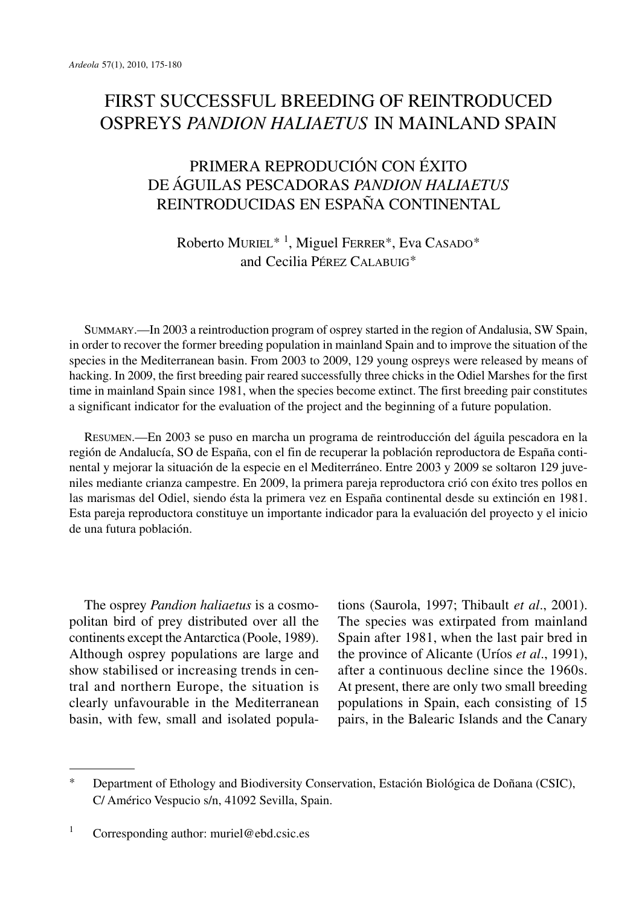## FIRST SUCCESSFUL BREEDING OF REINTRODUCED OSPREYS *PANDION HALIAETUS* IN MAINLAND SPAIN

## PRIMERA REPRODUCIÓN CON ÉXITO DE ÁGUILAS PESCADORAS *PANDION HALIAETUS* REINTRODUCIDAS EN ESPAÑA CONTINENTAL

Roberto MURIEL\* <sup>1</sup> , Miguel FERRER\*, Eva CASADO\* and Cecilia PÉREZ CALABUIG\*

SUMMARY.—In 2003 a reintroduction program of osprey started in the region of Andalusia, SW Spain, in order to recover the former breeding population in mainland Spain and to improve the situation of the species in the Mediterranean basin. From 2003 to 2009, 129 young ospreys were released by means of hacking. In 2009, the first breeding pair reared successfully three chicks in the Odiel Marshes for the first time in mainland Spain since 1981, when the species become extinct. The first breeding pair constitutes a significant indicator for the evaluation of the project and the beginning of a future population.

RESUMEN.—En 2003 se puso en marcha un programa de reintroducción del águila pescadora en la región de Andalucía, SO de España, con el fin de recuperar la población reproductora de España continental y mejorar la situación de la especie en el Mediterráneo. Entre 2003 y 2009 se soltaron 129 juveniles mediante crianza campestre. En 2009, la primera pareja reproductora crió con éxito tres pollos en las marismas del Odiel, siendo ésta la primera vez en España continental desde su extinción en 1981. Esta pareja reproductora constituye un importante indicador para la evaluación del proyecto y el inicio de una futura población.

The osprey *Pandion haliaetus* is a cosmopolitan bird of prey distributed over all the continents except theAntarctica (Poole, 1989). Although osprey populations are large and show stabilised or increasing trends in central and northern Europe, the situation is clearly unfavourable in the Mediterranean basin, with few, small and isolated popula-

tions (Saurola, 1997; Thibault *et al*., 2001). The species was extirpated from mainland Spain after 1981, when the last pair bred in the province of Alicante (Uríos *et al*., 1991), after a continuous decline since the 1960s. At present, there are only two small breeding populations in Spain, each consisting of 15 pairs, in the Balearic Islands and the Canary

<sup>\*</sup> Department of Ethology and Biodiversity Conservation, Estación Biológica de Doñana (CSIC), C/ Américo Vespucio s/n, 41092 Sevilla, Spain.

<sup>&</sup>lt;sup>1</sup> Corresponding author: muriel@ebd.csic.es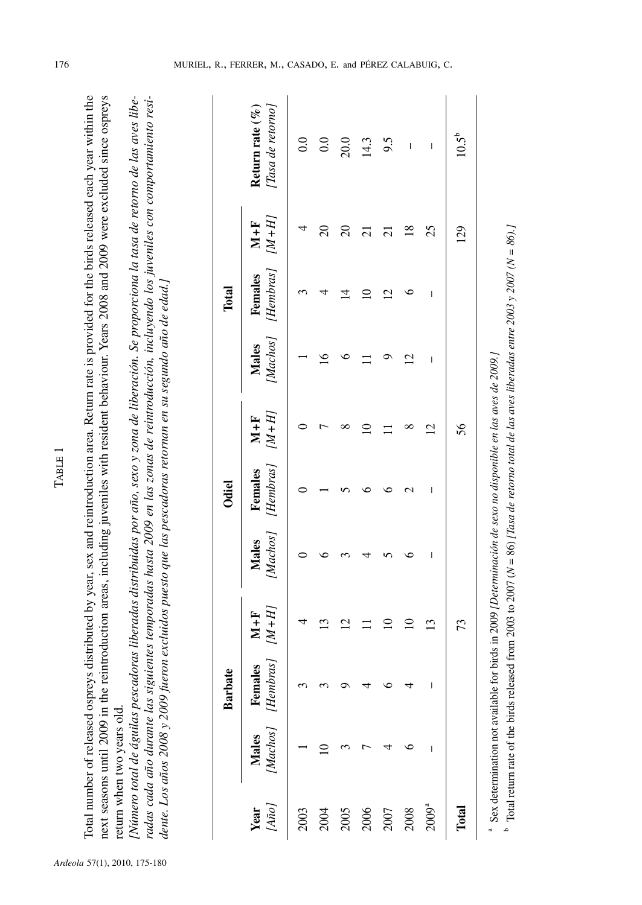| ۰        |
|----------|
| ۴<br>. . |
|          |
| ∼        |
|          |
|          |

Total number of released ospreys distributed by year, sex and reintroduction area. Return rate is provided for the birds released each year within the Total number of released ospreys distributed by year, sex and reintroduction area. Return rate is provided for the birds released each year within the next seasons until 2009 in the reintroduction areas, including juveniles with resident behaviour. Years 2008 and 2009 were excluded since ospreys next seasons until 2009 in the reintroduction areas, including juveniles with resident behaviour. Years 2008 and 2009 were excluded since ospreys return when two years old. hen two years old. return w

Número total de águilas pescadoras liberadas distribuidas por año, sexo y zona de liberación. Se proporciona la tasa de retorno de las aves libe-[Número total de águilas pescadoras liberadas distribuídas por año, sexo y zona de liberación. Se proporciona la tasa de retorno de las aves liberadas cada año durante las siguientes temporadas hasta 2009 en las zonas de reintroducción, incluyendo los juveniles con comportamiento resiradas cada año durante las siguientes temporadas hasta 2009 en las zonas de reintroducción, incluyendo los juveniles con comportamiento residente. Los años 2008 y 2009 fueron excluidos puesto que las pescadoras retornan en su segundo año de edad.] dente. Los años 2008 y 2009 fueron excluidos puesto que las pescadoras retornan en su segundo año de edad.]

|                     |                                 | <b>Barbate</b>           |                    |                                | Odiel                                                                                   |                |                           | Total                                 |                |                                                                                                                                                                                                                                                                                                                                                                                  |
|---------------------|---------------------------------|--------------------------|--------------------|--------------------------------|-----------------------------------------------------------------------------------------|----------------|---------------------------|---------------------------------------|----------------|----------------------------------------------------------------------------------------------------------------------------------------------------------------------------------------------------------------------------------------------------------------------------------------------------------------------------------------------------------------------------------|
| [Año]<br>Year       | Machos]<br><b>Males</b>         | [Hembras]<br>Females     | $[M+H]$<br>$M + F$ | <b>Males</b>                   | [Machos] [Hembras] [M+H]<br>Females $M + F$                                             |                | Males                     | [Machos] [Hembras] $[M+H]$<br>Females | $M + F$        | Return rate $(\%$<br>[Tasa de retorno]                                                                                                                                                                                                                                                                                                                                           |
| 2003                |                                 | ۰                        |                    |                                |                                                                                         |                |                           |                                       |                | 0.0                                                                                                                                                                                                                                                                                                                                                                              |
| 2004                |                                 |                          | $\mathbf{13}$      |                                |                                                                                         |                | $\widetilde{\phantom{a}}$ | 4                                     | $\Omega$       | 0.0                                                                                                                                                                                                                                                                                                                                                                              |
| 2005                |                                 |                          | $\overline{c}$     |                                |                                                                                         | ∞              | ∘                         | $\vec{4}$                             | $\overline{c}$ | 20.0                                                                                                                                                                                                                                                                                                                                                                             |
| 2006                |                                 |                          |                    |                                |                                                                                         | $\supseteq$    |                           | $\supseteq$                           | $\overline{c}$ | 14.3                                                                                                                                                                                                                                                                                                                                                                             |
| 2007                |                                 |                          | $\Xi$              |                                |                                                                                         |                |                           | $\overline{2}$                        | $\overline{c}$ | 9.5                                                                                                                                                                                                                                                                                                                                                                              |
| 2008                |                                 | 4                        | $\supseteq$        | ٥                              | c                                                                                       | ∞              | $\overline{2}$            | ७                                     | $\frac{8}{10}$ | $\overline{1}$                                                                                                                                                                                                                                                                                                                                                                   |
| $2009$ <sup>a</sup> | I                               | $\overline{\phantom{a}}$ | $\mathbf{13}$      | $\begin{array}{c} \end{array}$ | $\begin{array}{c} \end{array}$                                                          | $\overline{2}$ | $\overline{\phantom{a}}$  | $\begin{array}{c} \end{array}$        | 25             | $\begin{array}{c} \rule{0pt}{2.5ex} \rule{0pt}{2.5ex} \rule{0pt}{2.5ex} \rule{0pt}{2.5ex} \rule{0pt}{2.5ex} \rule{0pt}{2.5ex} \rule{0pt}{2.5ex} \rule{0pt}{2.5ex} \rule{0pt}{2.5ex} \rule{0pt}{2.5ex} \rule{0pt}{2.5ex} \rule{0pt}{2.5ex} \rule{0pt}{2.5ex} \rule{0pt}{2.5ex} \rule{0pt}{2.5ex} \rule{0pt}{2.5ex} \rule{0pt}{2.5ex} \rule{0pt}{2.5ex} \rule{0pt}{2.5ex} \rule{0$ |
| Total               |                                 |                          | 73                 |                                |                                                                                         | 56             |                           |                                       | 129            | $10.5^{b}$                                                                                                                                                                                                                                                                                                                                                                       |
|                     | Sex determination not available |                          |                    |                                | e for birds in 2009 <i>(Determinación de sexo no disponible en las aves de 2009 l</i> ) |                |                           |                                       |                |                                                                                                                                                                                                                                                                                                                                                                                  |

 $\frac{1}{2}$  Total return rate of the birds released from 2003 to 2007 ( $N = 86$ ) [Tasa de retorno total de las aves liberadas entre 2003 y 2007 ( $N = 86$ ).] " Sex determination not available for birds in 2009 *[Determinación de sexo no disponible en las aves de 2009.]*<br>" Total return rate of the birds released from 2003 to 2007 (N = 86) *[Tasa de retorno total de las aves libe*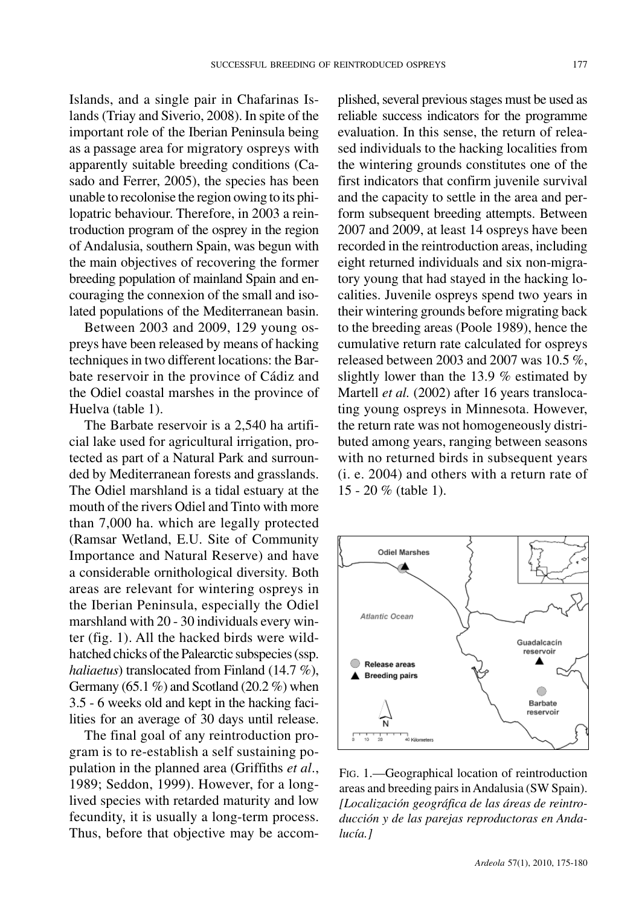Islands, and a single pair in Chafarinas Islands (Triay and Siverio, 2008). In spite of the important role of the Iberian Peninsula being as a passage area for migratory ospreys with apparently suitable breeding conditions (Casado and Ferrer, 2005), the species has been unable to recolonise the region owing to its philopatric behaviour. Therefore, in 2003 a reintroduction program of the osprey in the region of Andalusia, southern Spain, was begun with the main objectives of recovering the former breeding population of mainland Spain and encouraging the connexion of the small and isolated populations of the Mediterranean basin.

Between 2003 and 2009, 129 young ospreys have been released by means of hacking techniques in two different locations: the Barbate reservoir in the province of Cádiz and the Odiel coastal marshes in the province of Huelva (table 1).

The Barbate reservoir is a 2,540 ha artificial lake used for agricultural irrigation, protected as part of a Natural Park and surrounded by Mediterranean forests and grasslands. The Odiel marshland is a tidal estuary at the mouth of the rivers Odiel and Tinto with more than 7,000 ha. which are legally protected (Ramsar Wetland, E.U. Site of Community Importance and Natural Reserve) and have a considerable ornithological diversity. Both areas are relevant for wintering ospreys in the Iberian Peninsula, especially the Odiel marshland with 20 - 30 individuals every winter (fig. 1). All the hacked birds were wildhatched chicks of the Palearctic subspecies (ssp. *haliaetus*) translocated from Finland (14.7 %), Germany  $(65.1\%)$  and Scotland  $(20.2\%)$  when 3.5 - 6 weeks old and kept in the hacking facilities for an average of 30 days until release.

The final goal of any reintroduction program is to re-establish a self sustaining population in the planned area (Griffiths *et al*., 1989; Seddon, 1999). However, for a longlived species with retarded maturity and low fecundity, it is usually a long-term process. Thus, before that objective may be accomplished, several previous stages must be used as reliable success indicators for the programme evaluation. In this sense, the return of released individuals to the hacking localities from the wintering grounds constitutes one of the first indicators that confirm juvenile survival and the capacity to settle in the area and perform subsequent breeding attempts. Between 2007 and 2009, at least 14 ospreys have been recorded in the reintroduction areas, including eight returned individuals and six non-migratory young that had stayed in the hacking localities. Juvenile ospreys spend two years in their wintering grounds before migrating back to the breeding areas (Poole 1989), hence the cumulative return rate calculated for ospreys released between 2003 and 2007 was  $10.5\%$ , slightly lower than the 13.9 % estimated by Martell *et al.* (2002) after 16 years translocating young ospreys in Minnesota. However, the return rate was not homogeneously distributed among years, ranging between seasons with no returned birds in subsequent years (i. e. 2004) and others with a return rate of 15 - 20 % (table 1).



FIG. 1.—Geographical location of reintroduction areas and breeding pairsinAndalusia (SW Spain). *[Localización geográfica de las áreas de reintroducción y de las parejas reproductoras en Andalucía.]*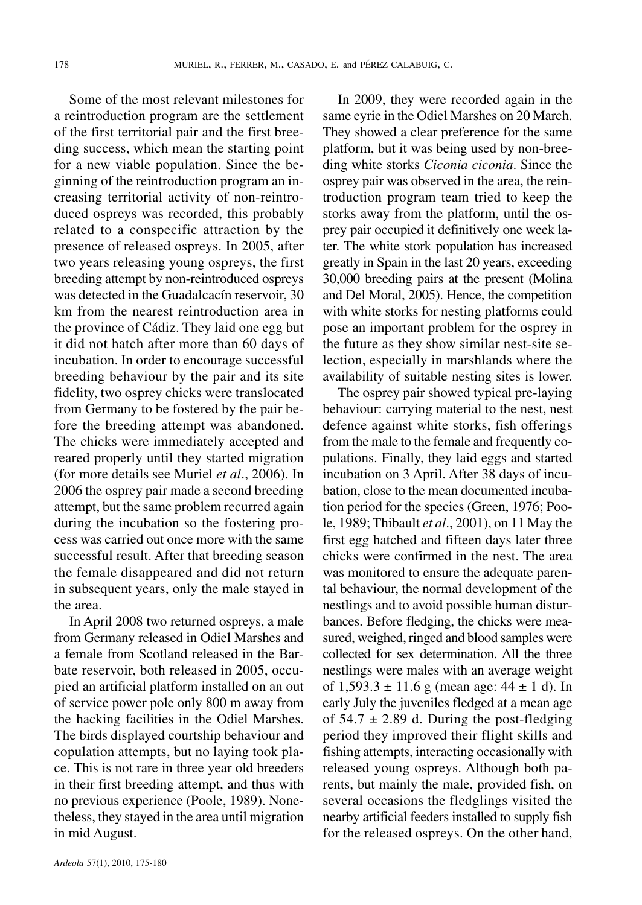Some of the most relevant milestones for a reintroduction program are the settlement of the first territorial pair and the first breeding success, which mean the starting point for a new viable population. Since the beginning of the reintroduction program an increasing territorial activity of non-reintroduced ospreys was recorded, this probably related to a conspecific attraction by the presence of released ospreys. In 2005, after two years releasing young ospreys, the first breeding attempt by non-reintroduced ospreys was detected in the Guadalcacín reservoir, 30 km from the nearest reintroduction area in the province of Cádiz. They laid one egg but it did not hatch after more than 60 days of incubation. In order to encourage successful breeding behaviour by the pair and its site fidelity, two osprey chicks were translocated from Germany to be fostered by the pair before the breeding attempt was abandoned. The chicks were immediately accepted and reared properly until they started migration (for more details see Muriel *et al*., 2006). In 2006 the osprey pair made a second breeding attempt, but the same problem recurred again during the incubation so the fostering process was carried out once more with the same successful result. After that breeding season the female disappeared and did not return in subsequent years, only the male stayed in the area.

In April 2008 two returned ospreys, a male from Germany released in Odiel Marshes and a female from Scotland released in the Barbate reservoir, both released in 2005, occupied an artificial platform installed on an out of service power pole only 800 m away from the hacking facilities in the Odiel Marshes. The birds displayed courtship behaviour and copulation attempts, but no laying took place. This is not rare in three year old breeders in their first breeding attempt, and thus with no previous experience (Poole, 1989). Nonetheless, they stayed in the area until migration in mid August.

In 2009, they were recorded again in the same eyrie in the Odiel Marshes on 20 March. They showed a clear preference for the same platform, but it was being used by non-breeding white storks *Ciconia ciconia*. Since the osprey pair was observed in the area, the reintroduction program team tried to keep the storks away from the platform, until the osprey pair occupied it definitively one week later. The white stork population has increased greatly in Spain in the last 20 years, exceeding 30,000 breeding pairs at the present (Molina and Del Moral, 2005). Hence, the competition with white storks for nesting platforms could pose an important problem for the osprey in the future as they show similar nest-site selection, especially in marshlands where the availability of suitable nesting sites is lower.

The osprey pair showed typical pre-laying behaviour: carrying material to the nest, nest defence against white storks, fish offerings from the male to the female and frequently copulations. Finally, they laid eggs and started incubation on 3 April. After 38 days of incubation, close to the mean documented incubation period for the species (Green, 1976; Poole, 1989; Thibault *et al*., 2001), on 11 May the first egg hatched and fifteen days later three chicks were confirmed in the nest. The area was monitored to ensure the adequate parental behaviour, the normal development of the nestlings and to avoid possible human disturbances. Before fledging, the chicks were measured, weighed, ringed and blood samples were collected for sex determination. All the three nestlings were males with an average weight of  $1,593.3 \pm 11.6$  g (mean age:  $44 \pm 1$  d). In early July the juveniles fledged at a mean age of  $54.7 \pm 2.89$  d. During the post-fledging period they improved their flight skills and fishing attempts, interacting occasionally with released young ospreys. Although both parents, but mainly the male, provided fish, on several occasions the fledglings visited the nearby artificial feeders installed to supply fish for the released ospreys. On the other hand,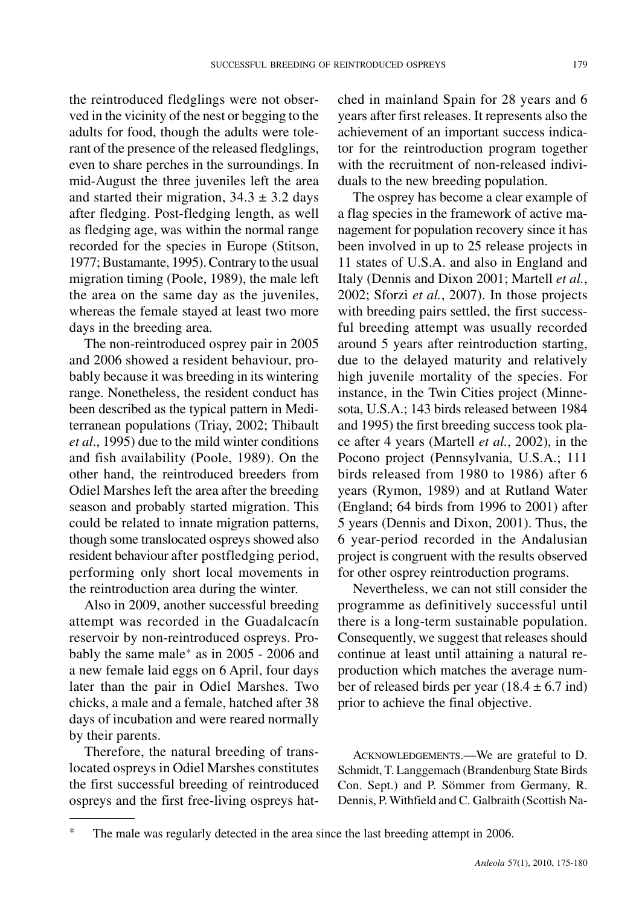the reintroduced fledglings were not observed in the vicinity of the nest or begging to the adults for food, though the adults were tolerant of the presence of the released fledglings, even to share perches in the surroundings. In mid-August the three juveniles left the area and started their migration,  $34.3 \pm 3.2$  days after fledging. Post-fledging length, as well as fledging age, was within the normal range recorded for the species in Europe (Stitson, 1977;Bustamante, 1995).Contrary to the usual migration timing (Poole, 1989), the male left the area on the same day as the juveniles, whereas the female stayed at least two more days in the breeding area.

The non-reintroduced osprey pair in 2005 and 2006 showed a resident behaviour, probably because it was breeding in its wintering range. Nonetheless, the resident conduct has been described as the typical pattern in Mediterranean populations (Triay, 2002; Thibault *et al*., 1995) due to the mild winter conditions and fish availability (Poole, 1989). On the other hand, the reintroduced breeders from Odiel Marshes left the area after the breeding season and probably started migration. This could be related to innate migration patterns, though some translocated ospreys showed also resident behaviour after postfledging period, performing only short local movements in the reintroduction area during the winter.

Also in 2009, another successful breeding attempt was recorded in the Guadalcacín reservoir by non-reintroduced ospreys. Probably the same male\* as in 2005 - 2006 and a new female laid eggs on 6 April, four days later than the pair in Odiel Marshes. Two chicks, a male and a female, hatched after 38 days of incubation and were reared normally by their parents.

Therefore, the natural breeding of translocated ospreys in Odiel Marshes constitutes the first successful breeding of reintroduced ospreys and the first free-living ospreys hatched in mainland Spain for 28 years and 6 years after first releases. It represents also the achievement of an important success indicator for the reintroduction program together with the recruitment of non-released individuals to the new breeding population.

The osprey has become a clear example of a flag species in the framework of active management for population recovery since it has been involved in up to 25 release projects in 11 states of U.S.A. and also in England and Italy (Dennis and Dixon 2001; Martell *et al.*, 2002; Sforzi *et al.*, 2007). In those projects with breeding pairs settled, the first successful breeding attempt was usually recorded around 5 years after reintroduction starting, due to the delayed maturity and relatively high juvenile mortality of the species. For instance, in the Twin Cities project (Minnesota, U.S.A.; 143 birds released between 1984 and 1995) the first breeding success took place after 4 years (Martell *et al.*, 2002), in the Pocono project (Pennsylvania, U.S.A.; 111 birds released from 1980 to 1986) after 6 years (Rymon, 1989) and at Rutland Water (England; 64 birds from 1996 to 2001) after 5 years (Dennis and Dixon, 2001). Thus, the 6 year-period recorded in the Andalusian project is congruent with the results observed for other osprey reintroduction programs.

Nevertheless, we can not still consider the programme as definitively successful until there is a long-term sustainable population. Consequently, we suggest that releases should continue at least until attaining a natural reproduction which matches the average number of released birds per year  $(18.4 \pm 6.7 \text{ ind})$ prior to achieve the final objective.

ACKNOWLEDGEMENTS.—We are grateful to D. Schmidt, T. Langgemach (Brandenburg State Birds Con. Sept.) and P. Sömmer from Germany, R. Dennis, P.Withfield and C. Galbraith (Scottish Na-

The male was regularly detected in the area since the last breeding attempt in 2006.